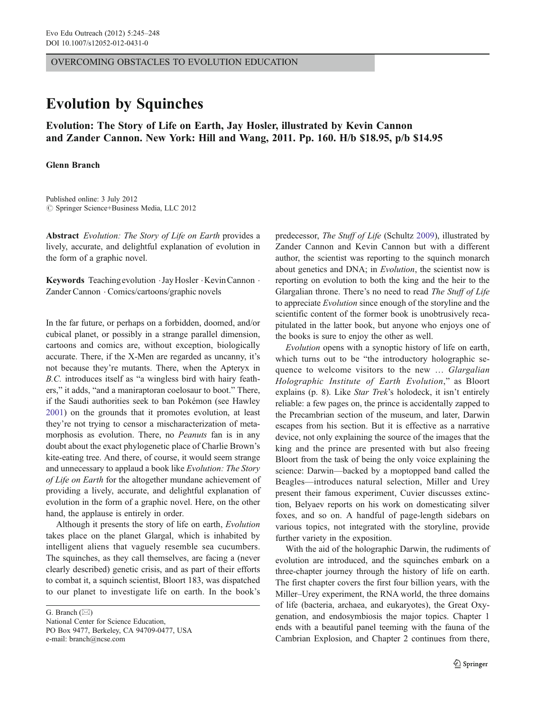OVERCOMING OBSTACLES TO EVOLUTION EDUCATION

## Evolution by Squinches

Evolution: The Story of Life on Earth, Jay Hosler, illustrated by Kevin Cannon and Zander Cannon. New York: Hill and Wang, 2011. Pp. 160. H/b \$18.95, p/b \$14.95

## Glenn Branch

Published online: 3 July 2012  $\oslash$  Springer Science+Business Media, LLC 2012

Abstract Evolution: The Story of Life on Earth provides a lively, accurate, and delightful explanation of evolution in the form of a graphic novel.

Keywords Teaching evolution . Jay Hosler . Kevin Cannon . Zander Cannon . Comics/cartoons/graphic novels

In the far future, or perhaps on a forbidden, doomed, and/or cubical planet, or possibly in a strange parallel dimension, cartoons and comics are, without exception, biologically accurate. There, if the X-Men are regarded as uncanny, it's not because they're mutants. There, when the Apteryx in B.C. introduces itself as "a wingless bird with hairy feathers," it adds, "and a maniraptoran coelosaur to boot." There, if the Saudi authorities seek to ban Pokémon (see Hawley [2001\)](#page-3-0) on the grounds that it promotes evolution, at least they're not trying to censor a mischaracterization of metamorphosis as evolution. There, no Peanuts fan is in any doubt about the exact phylogenetic place of Charlie Brown's kite-eating tree. And there, of course, it would seem strange and unnecessary to applaud a book like Evolution: The Story of Life on Earth for the altogether mundane achievement of providing a lively, accurate, and delightful explanation of evolution in the form of a graphic novel. Here, on the other hand, the applause is entirely in order.

Although it presents the story of life on earth, Evolution takes place on the planet Glargal, which is inhabited by intelligent aliens that vaguely resemble sea cucumbers. The squinches, as they call themselves, are facing a (never clearly described) genetic crisis, and as part of their efforts to combat it, a squinch scientist, Bloort 183, was dispatched to our planet to investigate life on earth. In the book's

G. Branch  $(\boxtimes)$ 

National Center for Science Education, PO Box 9477, Berkeley, CA 94709-0477, USA e-mail: branch@ncse.com

predecessor, The Stuff of Life (Schultz [2009\)](#page-3-0), illustrated by Zander Cannon and Kevin Cannon but with a different author, the scientist was reporting to the squinch monarch about genetics and DNA; in Evolution, the scientist now is reporting on evolution to both the king and the heir to the Glargalian throne. There's no need to read The Stuff of Life to appreciate Evolution since enough of the storyline and the scientific content of the former book is unobtrusively recapitulated in the latter book, but anyone who enjoys one of the books is sure to enjoy the other as well.

Evolution opens with a synoptic history of life on earth, which turns out to be "the introductory holographic sequence to welcome visitors to the new ... Glargalian Holographic Institute of Earth Evolution," as Bloort explains (p. 8). Like Star Trek's holodeck, it isn't entirely reliable: a few pages on, the prince is accidentally zapped to the Precambrian section of the museum, and later, Darwin escapes from his section. But it is effective as a narrative device, not only explaining the source of the images that the king and the prince are presented with but also freeing Bloort from the task of being the only voice explaining the science: Darwin—backed by a moptopped band called the Beagles—introduces natural selection, Miller and Urey present their famous experiment, Cuvier discusses extinction, Belyaev reports on his work on domesticating silver foxes, and so on. A handful of page-length sidebars on various topics, not integrated with the storyline, provide further variety in the exposition.

With the aid of the holographic Darwin, the rudiments of evolution are introduced, and the squinches embark on a three-chapter journey through the history of life on earth. The first chapter covers the first four billion years, with the Miller–Urey experiment, the RNA world, the three domains of life (bacteria, archaea, and eukaryotes), the Great Oxygenation, and endosymbiosis the major topics. Chapter 1 ends with a beautiful panel teeming with the fauna of the Cambrian Explosion, and Chapter 2 continues from there,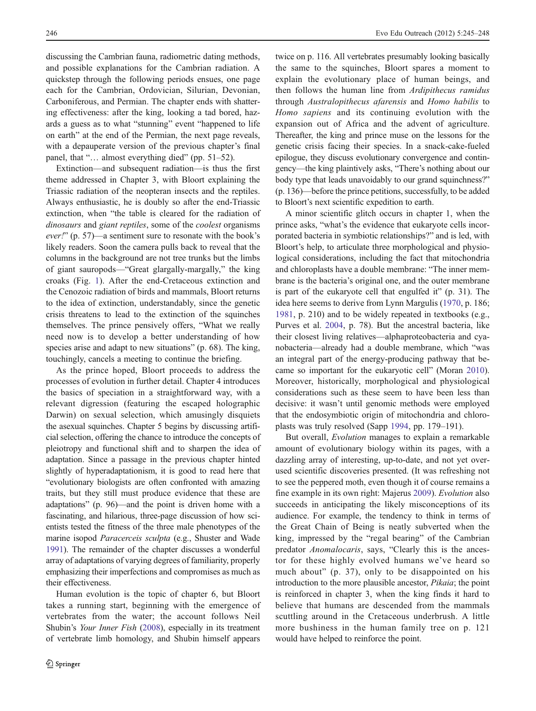discussing the Cambrian fauna, radiometric dating methods, and possible explanations for the Cambrian radiation. A quickstep through the following periods ensues, one page each for the Cambrian, Ordovician, Silurian, Devonian, Carboniferous, and Permian. The chapter ends with shattering effectiveness: after the king, looking a tad bored, hazards a guess as to what "stunning" event "happened to life on earth" at the end of the Permian, the next page reveals, with a depauperate version of the previous chapter's final panel, that "… almost everything died" (pp. 51–52).

Extinction—and subsequent radiation—is thus the first theme addressed in Chapter 3, with Bloort explaining the Triassic radiation of the neopteran insects and the reptiles. Always enthusiastic, he is doubly so after the end-Triassic extinction, when "the table is cleared for the radiation of dinosaurs and giant reptiles, some of the coolest organisms ever!" (p. 57)—a sentiment sure to resonate with the book's likely readers. Soon the camera pulls back to reveal that the columns in the background are not tree trunks but the limbs of giant sauropods—"Great glargally-margally," the king croaks (Fig. [1](#page-2-0)). After the end-Cretaceous extinction and the Cenozoic radiation of birds and mammals, Bloort returns to the idea of extinction, understandably, since the genetic crisis threatens to lead to the extinction of the squinches themselves. The prince pensively offers, "What we really need now is to develop a better understanding of how species arise and adapt to new situations" (p. 68). The king, touchingly, cancels a meeting to continue the briefing.

As the prince hoped, Bloort proceeds to address the processes of evolution in further detail. Chapter 4 introduces the basics of speciation in a straightforward way, with a relevant digression (featuring the escaped holographic Darwin) on sexual selection, which amusingly disquiets the asexual squinches. Chapter 5 begins by discussing artificial selection, offering the chance to introduce the concepts of pleiotropy and functional shift and to sharpen the idea of adaptation. Since a passage in the previous chapter hinted slightly of hyperadaptationism, it is good to read here that "evolutionary biologists are often confronted with amazing traits, but they still must produce evidence that these are adaptations" (p. 96)—and the point is driven home with a fascinating, and hilarious, three-page discussion of how scientists tested the fitness of the three male phenotypes of the marine isopod Paracerceis sculpta (e.g., Shuster and Wade [1991\)](#page-3-0). The remainder of the chapter discusses a wonderful array of adaptations of varying degrees of familiarity, properly emphasizing their imperfections and compromises as much as their effectiveness.

Human evolution is the topic of chapter 6, but Bloort takes a running start, beginning with the emergence of vertebrates from the water; the account follows Neil Shubin's Your Inner Fish ([2008](#page-3-0)), especially in its treatment of vertebrate limb homology, and Shubin himself appears

twice on p. 116. All vertebrates presumably looking basically the same to the squinches, Bloort spares a moment to explain the evolutionary place of human beings, and then follows the human line from Ardipithecus ramidus through Australopithecus afarensis and Homo habilis to Homo sapiens and its continuing evolution with the expansion out of Africa and the advent of agriculture. Thereafter, the king and prince muse on the lessons for the genetic crisis facing their species. In a snack-cake-fueled epilogue, they discuss evolutionary convergence and contingency—the king plaintively asks, "There's nothing about our body type that leads unavoidably to our grand squinchness?" (p. 136)—before the prince petitions, successfully, to be added to Bloort's next scientific expedition to earth.

A minor scientific glitch occurs in chapter 1, when the prince asks, "what's the evidence that eukaryote cells incorporated bacteria in symbiotic relationships?" and is led, with Bloort's help, to articulate three morphological and physiological considerations, including the fact that mitochondria and chloroplasts have a double membrane: "The inner membrane is the bacteria's original one, and the outer membrane is part of the eukaryote cell that engulfed it" (p. 31). The idea here seems to derive from Lynn Margulis [\(1970](#page-3-0), p. 186; [1981](#page-3-0), p. 210) and to be widely repeated in textbooks (e.g., Purves et al. [2004](#page-3-0), p. 78). But the ancestral bacteria, like their closest living relatives—alphaproteobacteria and cyanobacteria—already had a double membrane, which "was an integral part of the energy-producing pathway that became so important for the eukaryotic cell" (Moran [2010\)](#page-3-0). Moreover, historically, morphological and physiological considerations such as these seem to have been less than decisive: it wasn't until genomic methods were employed that the endosymbiotic origin of mitochondria and chloroplasts was truly resolved (Sapp [1994](#page-3-0), pp. 179–191).

But overall, Evolution manages to explain a remarkable amount of evolutionary biology within its pages, with a dazzling array of interesting, up-to-date, and not yet overused scientific discoveries presented. (It was refreshing not to see the peppered moth, even though it of course remains a fine example in its own right: Majerus [2009](#page-3-0)). Evolution also succeeds in anticipating the likely misconceptions of its audience. For example, the tendency to think in terms of the Great Chain of Being is neatly subverted when the king, impressed by the "regal bearing" of the Cambrian predator Anomalocaris, says, "Clearly this is the ancestor for these highly evolved humans we've heard so much about" (p. 37), only to be disappointed on his introduction to the more plausible ancestor, Pikaia; the point is reinforced in chapter 3, when the king finds it hard to believe that humans are descended from the mammals scuttling around in the Cretaceous underbrush. A little more bushiness in the human family tree on p. 121 would have helped to reinforce the point.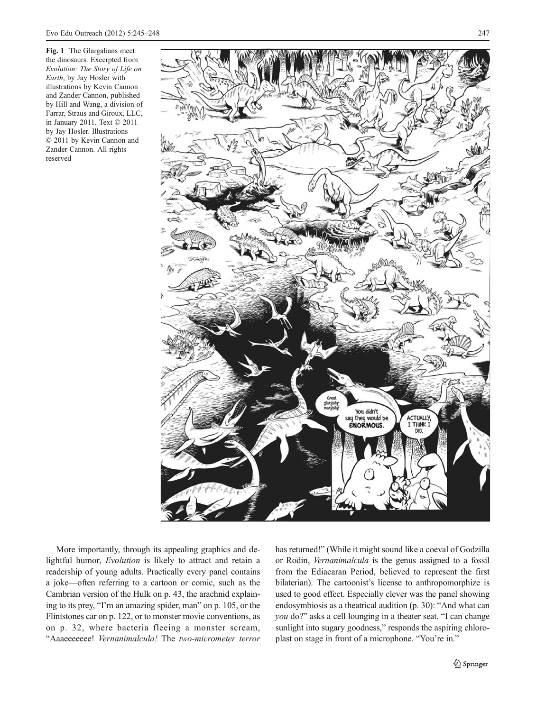<span id="page-2-0"></span>Fig. 1 The Glargalians meet the dinosaurs. Excerpted from Evolution: The Story of Life on Earth, by Jay Hosler with illustrations by Kevin Cannon and Zander Cannon, published by Hill and Wang, a division of Farrar, Straus and Giroux, LLC, in January 2011. Text © 2011 by Jay Hosler. Illustrations © 2011 by Kevin Cannon and Zander Cannon. All rights reserved



More importantly, through its appealing graphics and delightful humor, Evolution is likely to attract and retain a readership of young adults. Practically every panel contains a joke—often referring to a cartoon or comic, such as the Cambrian version of the Hulk on p. 43, the arachnid explaining to its prey, "I'm an amazing spider, man" on p. 105, or the Flintstones car on p. 122, or to monster movie conventions, as on p. 32, where bacteria fleeing a monster scream, "Aaaeeeeeee! Vernanimalcula! The two-micrometer terror has returned!" (While it might sound like a coeval of Godzilla or Rodin, Vernanimalcula is the genus assigned to a fossil from the Ediacaran Period, believed to represent the first bilaterian). The cartoonist's license to anthropomorphize is used to good effect. Especially clever was the panel showing endosymbiosis as a theatrical audition (p. 30): "And what can you do?" asks a cell lounging in a theater seat. "I can change sunlight into sugary goodness," responds the aspiring chloroplast on stage in front of a microphone. "You're in."